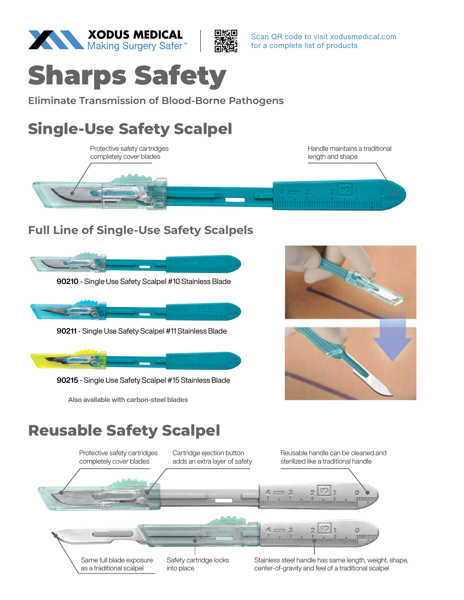



Scan QR code to visit xodusmedical.com for a complete list of products



**Eliminate Transmission of Blood-Borne Pathogens**

# **Single-Use Safety Scalpel**



# **Full Line of Single-Use Safety Scalpels**

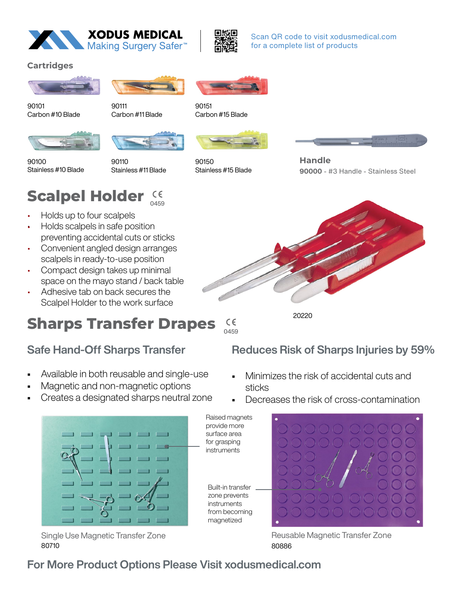



Scan QR code to visit xodusmedical.com for a complete list of products

### **Cartridges**





90110

90101 Carbon #10 Blade

Stainless #10 Blade

90100

90111 Carbon #11 Blade



90151 Carbon #15 Blade



**Scalpel Holder**

• Holds up to four scalpels • Holds scalpels in safe position preventing accidental cuts or sticks • Convenient angled design arranges scalpels in ready-to-use position • Compact design takes up minimal space on the mayo stand / back table • Adhesive tab on back secures the Scalpel Holder to the work surface

Stainless #11 Blade

0459

CE



90150 Stainless #15 Blade



**Handle 90000** - #3 Handle - Stainless Steel



**Sharps Transfer Drapes**  $\epsilon$ 0459

> Raised magnets provide more surface area for grasping instruments

Built-in transfer zone prevents instruments from becoming magnetized

# Safe Hand-Off Sharps Transfer

- Available in both reusable and single-use
- Magnetic and non-magnetic options
- Creates a designated sharps neutral zone



80710 Single Use Magnetic Transfer Zone

Reduces Risk of Sharps Injuries by 59%

- Minimizes the risk of accidental cuts and sticks
- Decreases the risk of cross-contamination



80886 Reusable Magnetic Transfer Zone

# For More Product Options Please Visit xodusmedical.com